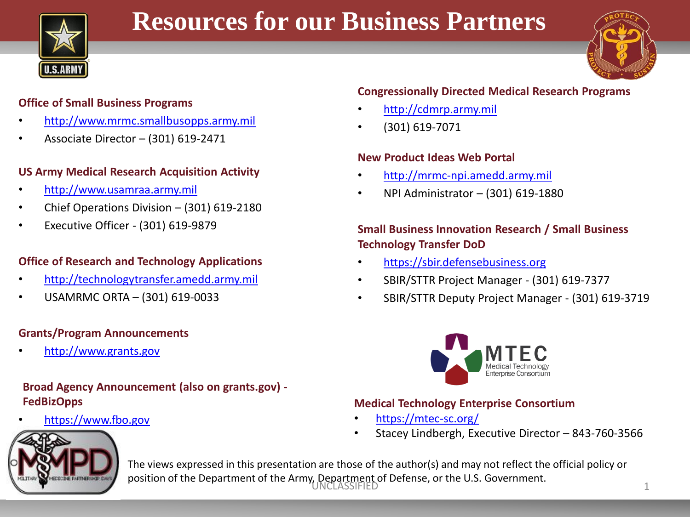

# **Resources for our Business Partners**



#### **Office of Small Business Programs**

- [http://www.mrmc.smallbusopps.army.mil](http://www.mrmc.smallbusopps.army.mil/)
- Associate Director (301) 619-2471

#### **US Army Medical Research Acquisition Activity**

- [http://www.usamraa.army.mil](http://www.usamraa.army.mil/)
- Chief Operations Division (301) 619-2180
- Executive Officer (301) 619-9879

## **Office of Research and Technology Applications**

- [http://technologytransfer.amedd.army.mil](http://technologytransfer.amedd.army.mil/)
- USAMRMC ORTA (301) 619-0033

## **Grants/Program Announcements**

• [http://www.grants.gov](http://www.grants.gov/)

# **Broad Agency Announcement (also on grants.gov) - FedBizOpps**

• [https://www.fbo.gov](https://www.fbo.gov/)

# **Congressionally Directed Medical Research Programs**

- [http://cdmrp.army.mil](http://cdmrp.army.mil/)
- (301) 619-7071

#### **New Product Ideas Web Portal**

- [http://mrmc-npi.amedd.army.mil](http://mrmc-npi.amedd.army.mil/)
- NPI Administrator (301) 619-1880

## **Small Business Innovation Research / Small Business Technology Transfer DoD**

- [https://sbir.defensebusiness.org](https://sbir.defensebusiness.org/)
- SBIR/STTR Project Manager (301) 619-7377
- SBIR/STTR Deputy Project Manager (301) 619-3719



#### **Medical Technology Enterprise Consortium**

- <https://mtec-sc.org/>
- Stacey Lindbergh, Executive Director 843-760-3566



position of the Department of the Army, Department of Defense, or the U.S. Government.<br>1 The views expressed in this presentation are those of the author(s) and may not reflect the official policy or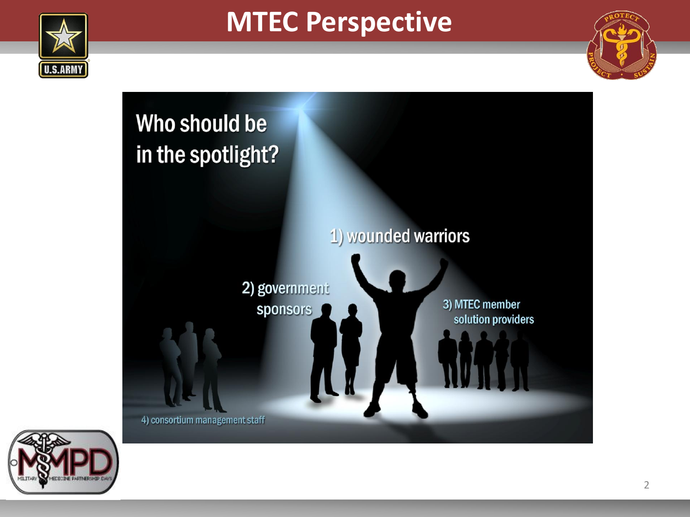

# **MTEC Perspective**





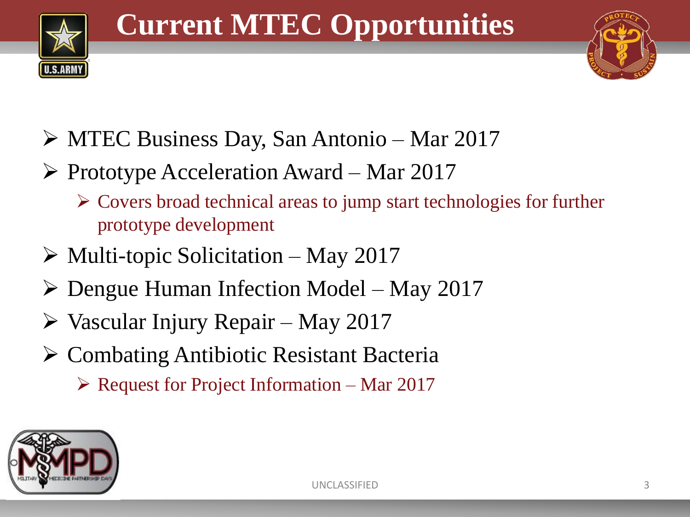



- MTEC Business Day, San Antonio Mar 2017
- $\triangleright$  Prototype Acceleration Award Mar 2017
	- Covers broad technical areas to jump start technologies for further prototype development
- $\triangleright$  Multi-topic Solicitation May 2017
- $\triangleright$  Dengue Human Infection Model May 2017
- $\triangleright$  Vascular Injury Repair May 2017
- Combating Antibiotic Resistant Bacteria
	- $\triangleright$  Request for Project Information Mar 2017